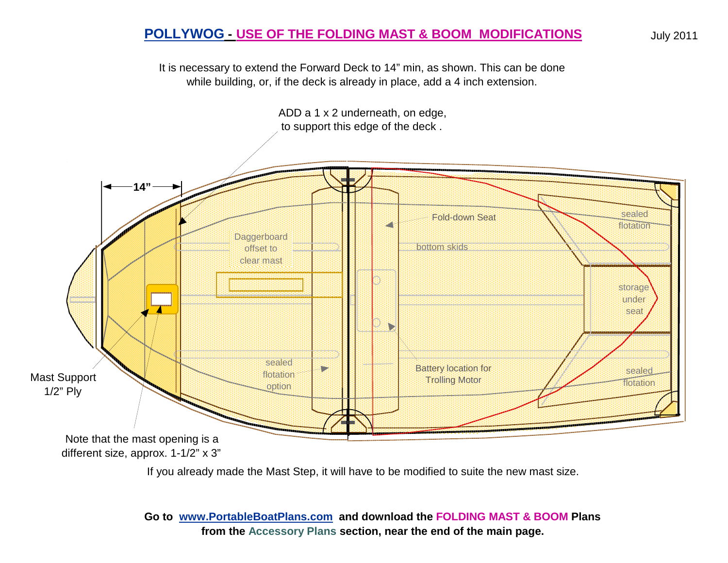## **POLLYWOG - USE OF THE FOLDING MAST & BOOM MODIFICATIONS**

It is necessary to extend the Forward Deck to 14" min, as shown. This can be done while building, or, if the deck is already in place, add a 4 inch extension.



If you already made the Mast Step, it will have to be modified to suite the new mast size.

**Go to www.PortableBoatPlans.com and download the FOLDING MAST & BOOM Plans from the Accessory Plans section, near the end of the main page.**